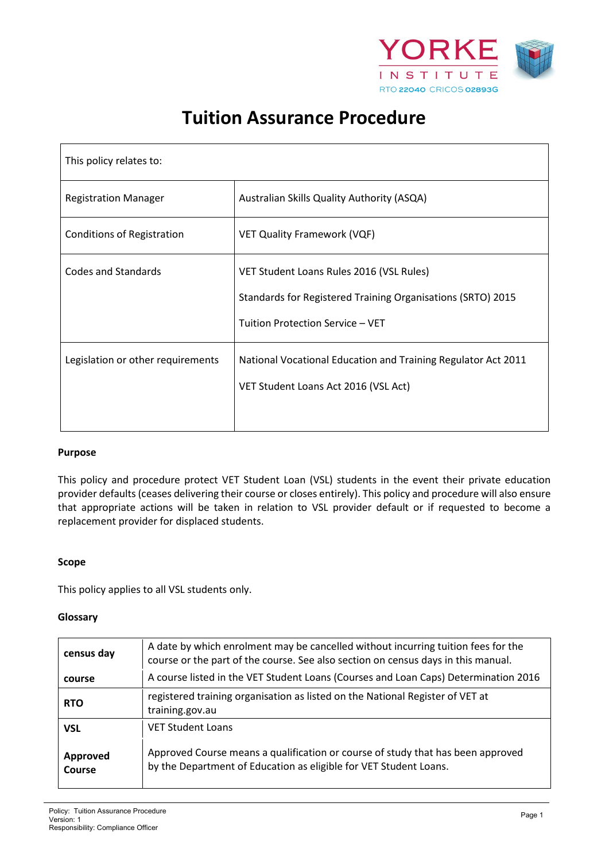

# **Tuition Assurance Procedure**

| This policy relates to:           |                                                                                                                                             |  |
|-----------------------------------|---------------------------------------------------------------------------------------------------------------------------------------------|--|
| <b>Registration Manager</b>       | Australian Skills Quality Authority (ASQA)                                                                                                  |  |
| <b>Conditions of Registration</b> | <b>VET Quality Framework (VQF)</b>                                                                                                          |  |
| <b>Codes and Standards</b>        | VET Student Loans Rules 2016 (VSL Rules)<br>Standards for Registered Training Organisations (SRTO) 2015<br>Tuition Protection Service - VET |  |
| Legislation or other requirements | National Vocational Education and Training Regulator Act 2011<br>VET Student Loans Act 2016 (VSL Act)                                       |  |

## **Purpose**

This policy and procedure protect VET Student Loan (VSL) students in the event their private education provider defaults (ceases delivering their course or closes entirely). This policy and procedure will also ensure that appropriate actions will be taken in relation to VSL provider default or if requested to become a replacement provider for displaced students.

#### **Scope**

This policy applies to all VSL students only.

#### **Glossary**

| census day                | A date by which enrolment may be cancelled without incurring tuition fees for the<br>course or the part of the course. See also section on census days in this manual. |  |
|---------------------------|------------------------------------------------------------------------------------------------------------------------------------------------------------------------|--|
| course                    | A course listed in the VET Student Loans (Courses and Loan Caps) Determination 2016                                                                                    |  |
| <b>RTO</b>                | registered training organisation as listed on the National Register of VET at<br>training.gov.au                                                                       |  |
| <b>VSL</b>                | <b>VET Student Loans</b>                                                                                                                                               |  |
| Approved<br><b>Course</b> | Approved Course means a qualification or course of study that has been approved<br>by the Department of Education as eligible for VET Student Loans.                   |  |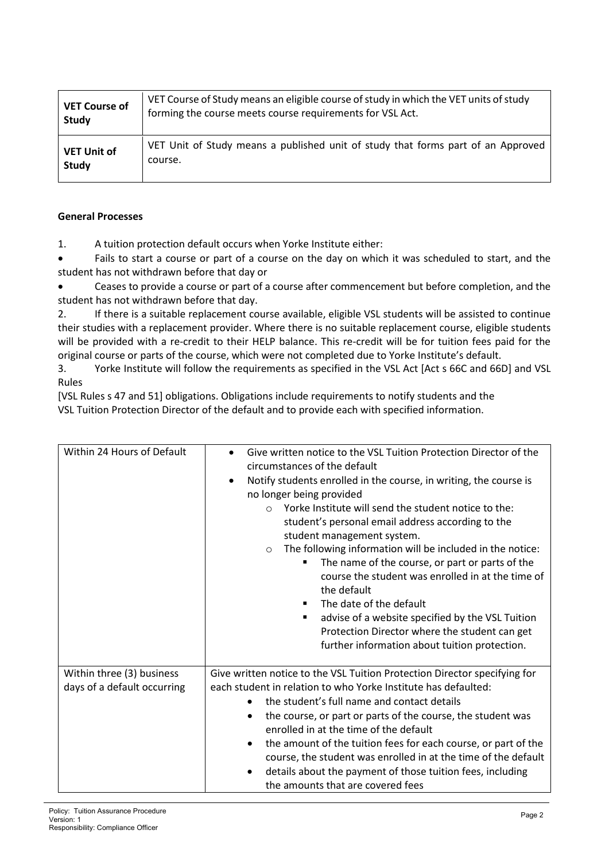| <b>VET Course of</b> | VET Course of Study means an eligible course of study in which the VET units of study |
|----------------------|---------------------------------------------------------------------------------------|
| Study                | forming the course meets course requirements for VSL Act.                             |
| <b>VET Unit of</b>   | VET Unit of Study means a published unit of study that forms part of an Approved      |
| Study                | course.                                                                               |

# **General Processes**

1. A tuition protection default occurs when Yorke Institute either:

• Fails to start a course or part of a course on the day on which it was scheduled to start, and the student has not withdrawn before that day or

• Ceases to provide a course or part of a course after commencement but before completion, and the student has not withdrawn before that day.

2. If there is a suitable replacement course available, eligible VSL students will be assisted to continue their studies with a replacement provider. Where there is no suitable replacement course, eligible students will be provided with a re-credit to their HELP balance. This re-credit will be for tuition fees paid for the original course or parts of the course, which were not completed due to Yorke Institute's default.

3. Yorke Institute will follow the requirements as specified in the VSL Act [Act s 66C and 66D] and VSL Rules

[VSL Rules s 47 and 51] obligations. Obligations include requirements to notify students and the VSL Tuition Protection Director of the default and to provide each with specified information.

| Within 24 Hours of Default                               | Give written notice to the VSL Tuition Protection Director of the<br>$\bullet$<br>circumstances of the default<br>Notify students enrolled in the course, in writing, the course is<br>$\bullet$<br>no longer being provided<br>Yorke Institute will send the student notice to the:<br>$\circ$<br>student's personal email address according to the<br>student management system.<br>The following information will be included in the notice:<br>$\circ$<br>The name of the course, or part or parts of the<br>course the student was enrolled in at the time of<br>the default<br>The date of the default<br>٠<br>advise of a website specified by the VSL Tuition<br>Protection Director where the student can get<br>further information about tuition protection. |  |
|----------------------------------------------------------|-------------------------------------------------------------------------------------------------------------------------------------------------------------------------------------------------------------------------------------------------------------------------------------------------------------------------------------------------------------------------------------------------------------------------------------------------------------------------------------------------------------------------------------------------------------------------------------------------------------------------------------------------------------------------------------------------------------------------------------------------------------------------|--|
| Within three (3) business<br>days of a default occurring | Give written notice to the VSL Tuition Protection Director specifying for<br>each student in relation to who Yorke Institute has defaulted:<br>the student's full name and contact details<br>the course, or part or parts of the course, the student was<br>٠<br>enrolled in at the time of the default<br>the amount of the tuition fees for each course, or part of the<br>$\bullet$<br>course, the student was enrolled in at the time of the default<br>details about the payment of those tuition fees, including<br>the amounts that are covered fees                                                                                                                                                                                                            |  |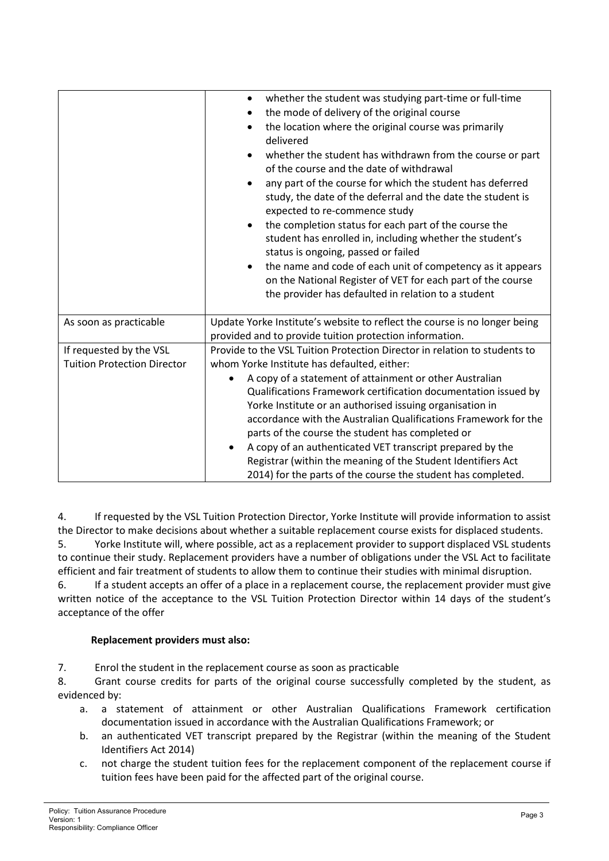|                                                               | whether the student was studying part-time or full-time<br>the mode of delivery of the original course<br>the location where the original course was primarily<br>$\bullet$<br>delivered<br>whether the student has withdrawn from the course or part<br>of the course and the date of withdrawal<br>any part of the course for which the student has deferred<br>٠<br>study, the date of the deferral and the date the student is<br>expected to re-commence study<br>the completion status for each part of the course the<br>student has enrolled in, including whether the student's<br>status is ongoing, passed or failed<br>the name and code of each unit of competency as it appears<br>on the National Register of VET for each part of the course<br>the provider has defaulted in relation to a student |  |
|---------------------------------------------------------------|---------------------------------------------------------------------------------------------------------------------------------------------------------------------------------------------------------------------------------------------------------------------------------------------------------------------------------------------------------------------------------------------------------------------------------------------------------------------------------------------------------------------------------------------------------------------------------------------------------------------------------------------------------------------------------------------------------------------------------------------------------------------------------------------------------------------|--|
| As soon as practicable                                        | Update Yorke Institute's website to reflect the course is no longer being<br>provided and to provide tuition protection information.                                                                                                                                                                                                                                                                                                                                                                                                                                                                                                                                                                                                                                                                                |  |
| If requested by the VSL<br><b>Tuition Protection Director</b> | Provide to the VSL Tuition Protection Director in relation to students to<br>whom Yorke Institute has defaulted, either:<br>A copy of a statement of attainment or other Australian<br>Qualifications Framework certification documentation issued by<br>Yorke Institute or an authorised issuing organisation in<br>accordance with the Australian Qualifications Framework for the<br>parts of the course the student has completed or<br>A copy of an authenticated VET transcript prepared by the<br>$\bullet$<br>Registrar (within the meaning of the Student Identifiers Act<br>2014) for the parts of the course the student has completed.                                                                                                                                                                  |  |

4. If requested by the VSL Tuition Protection Director, Yorke Institute will provide information to assist the Director to make decisions about whether a suitable replacement course exists for displaced students. 5. Yorke Institute will, where possible, act as a replacement provider to support displaced VSL students to continue their study. Replacement providers have a number of obligations under the VSL Act to facilitate efficient and fair treatment of students to allow them to continue their studies with minimal disruption.

6. If a student accepts an offer of a place in a replacement course, the replacement provider must give written notice of the acceptance to the VSL Tuition Protection Director within 14 days of the student's acceptance of the offer

# **Replacement providers must also:**

7. Enrol the student in the replacement course as soon as practicable

8. Grant course credits for parts of the original course successfully completed by the student, as evidenced by:

- a. a statement of attainment or other Australian Qualifications Framework certification documentation issued in accordance with the Australian Qualifications Framework; or
- b. an authenticated VET transcript prepared by the Registrar (within the meaning of the Student Identifiers Act 2014)
- c. not charge the student tuition fees for the replacement component of the replacement course if tuition fees have been paid for the affected part of the original course.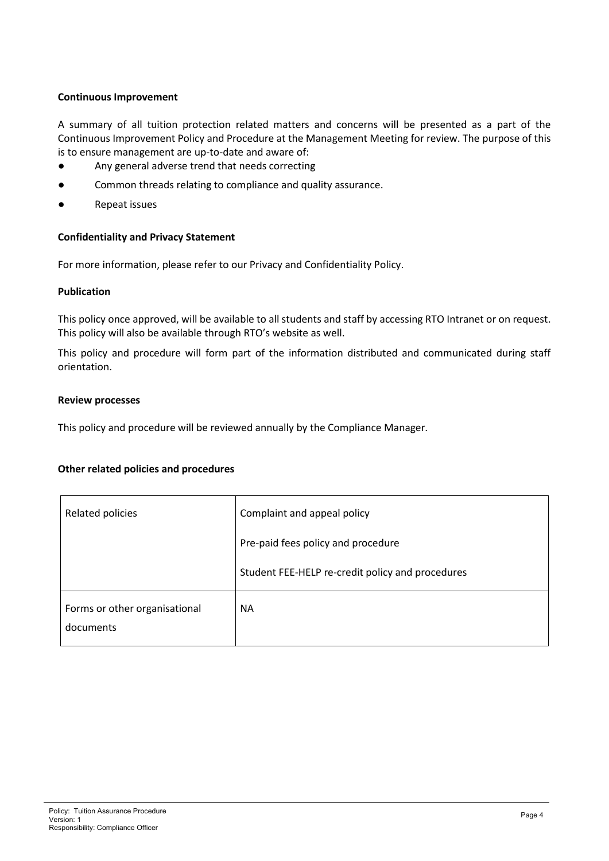# **Continuous Improvement**

A summary of all tuition protection related matters and concerns will be presented as a part of the Continuous Improvement Policy and Procedure at the Management Meeting for review. The purpose of this is to ensure management are up-to-date and aware of:

- Any general adverse trend that needs correcting
- Common threads relating to compliance and quality assurance.
- Repeat issues

# **Confidentiality and Privacy Statement**

For more information, please refer to our Privacy and Confidentiality Policy.

# **Publication**

This policy once approved, will be available to all students and staff by accessing RTO Intranet or on request. This policy will also be available through RTO's website as well.

This policy and procedure will form part of the information distributed and communicated during staff orientation.

#### **Review processes**

This policy and procedure will be reviewed annually by the Compliance Manager.

## **Other related policies and procedures**

| Related policies                           | Complaint and appeal policy                      |
|--------------------------------------------|--------------------------------------------------|
|                                            | Pre-paid fees policy and procedure               |
|                                            | Student FEE-HELP re-credit policy and procedures |
| Forms or other organisational<br>documents | <b>NA</b>                                        |